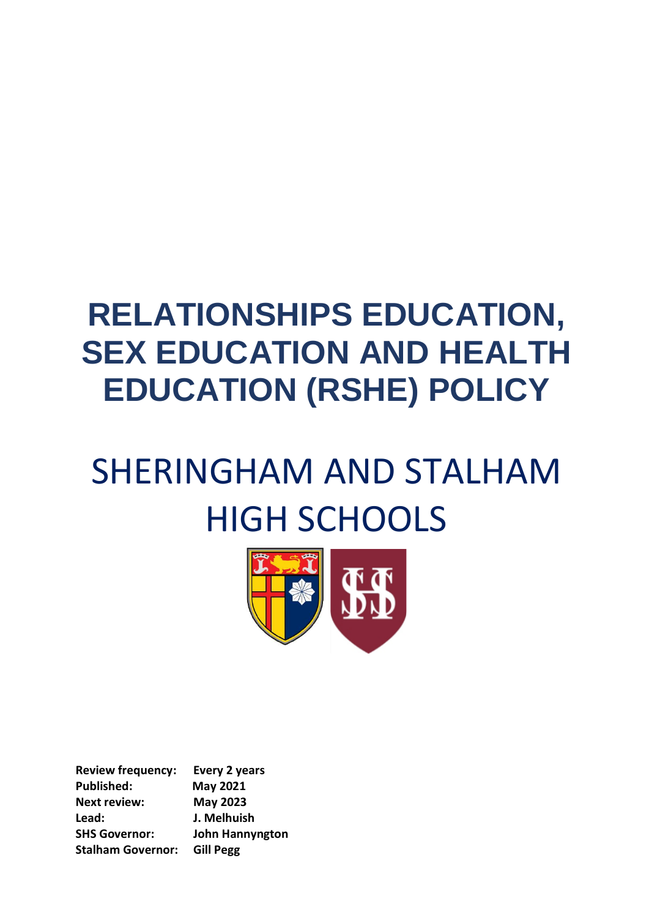# **RELATIONSHIPS EDUCATION, SEX EDUCATION AND HEALTH EDUCATION (RSHE) POLICY**

# SHERINGHAM AND STALHAM HIGH SCHOOLS



**Review frequency: Every 2 years Published: May 2021 Next review: May 2023 Lead: J. Melhuish SHS Governor: John Hannyngton Stalham Governor: Gill Pegg**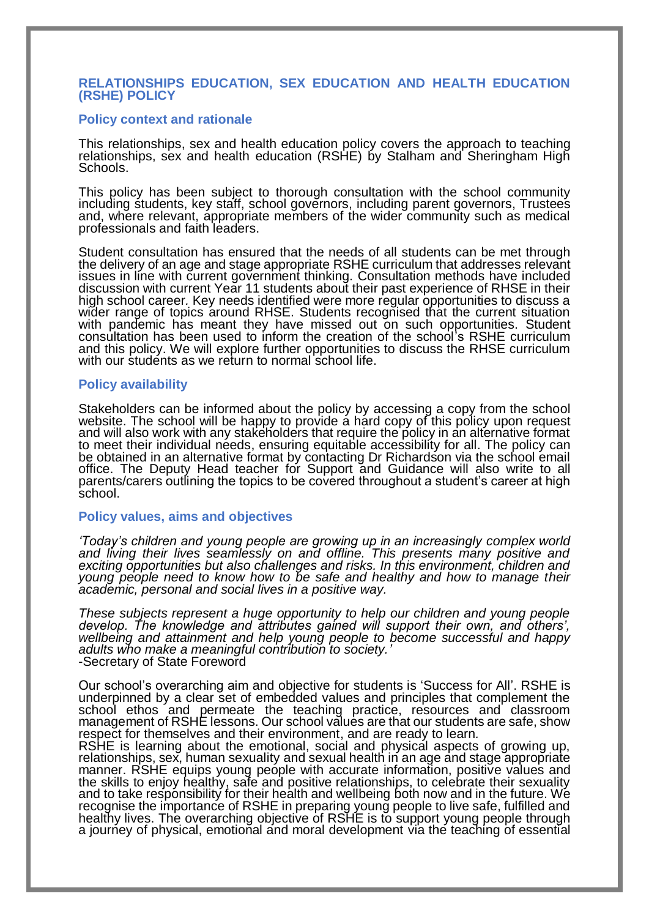# **RELATIONSHIPS EDUCATION, SEX EDUCATION AND HEALTH EDUCATION (RSHE) POLICY**

### **Policy context and rationale**

This relationships, sex and health education policy covers the approach to teaching relationships, sex and health education (RSHE) by Stalham and Sheringham High Schools.

This policy has been subject to thorough consultation with the school community including students, key staff, school governors, including parent governors, Trustees and, where relevant, appropriate members of the wider community such as medical professionals and faith leaders.

Student consultation has ensured that the needs of all students can be met through the delivery of an age and stage appropriate RSHE curriculum that addresses relevant issues in line with current government thinking. Consultation methods have included discussion with current Year 11 students about their past experience of RHSE in their high school career*.* Key needs identified were more regular opportunities to discuss a wider range of topics around RHSE. Students recognised that the current situation with pandemic has meant they have missed out on such opportunities. Student consultation has been used to inform the creation of the school's RSHE curriculum and this policy. We will explore further opportunities to discuss the RHSE curriculum with our students as we return to normal school life.

#### **Policy availability**

Stakeholders can be informed about the policy by accessing a copy from the school website. The school will be happy to provide a hard copy of this policy upon request and will also work with any stakeholders that require the policy in an alternative format to meet their individual needs, ensuring equitable accessibility for all. The policy can be obtained in an alternative format by contacting Dr Richardson via the school email office. The Deputy Head teacher for Support and Guidance will also write to all parents/carers outlining the topics to be covered throughout a student's career at high school.

#### **Policy values, aims and objectives**

*'Today's children and young people are growing up in an increasingly complex world and living their lives seamlessly on and offline. This presents many positive and exciting opportunities but also challenges and risks. In this environment, children and young people need to know how to be safe and healthy and how to manage their academic, personal and social lives in a positive way.*

*These subjects represent a huge opportunity to help our children and young people develop. The knowledge and attributes gained will support their own, and others', wellbeing and attainment and help young people to become successful and happy adults who make a meaningful contribution to society.'*  -Secretary of State Foreword

Our school's overarching aim and objective for students is 'Success for All'. RSHE is underpinned by a clear set of embedded values and principles that complement the school ethos and permeate the teaching practice, resources and classroom management of RSHE lessons. Our school values are that our students are safe, show respect for themselves and their environment, and are ready to learn*.* 

RSHE is learning about the emotional, social and physical aspects of growing up, relationships, sex, human sexuality and sexual health in an age and stage appropriate manner. RSHE equips young people with accurate information, positive values and the skills to enjoy healthy, safe and positive relationships, to celebrate their sexuality and to take responsibility for their health and wellbeing both now and in the future. We recognise the importance of RSHE in preparing young people to live safe, fulfilled and healthy lives. The overarching objective of RSHE is to support young people through a journey of physical, emotional and moral development via the teaching of essential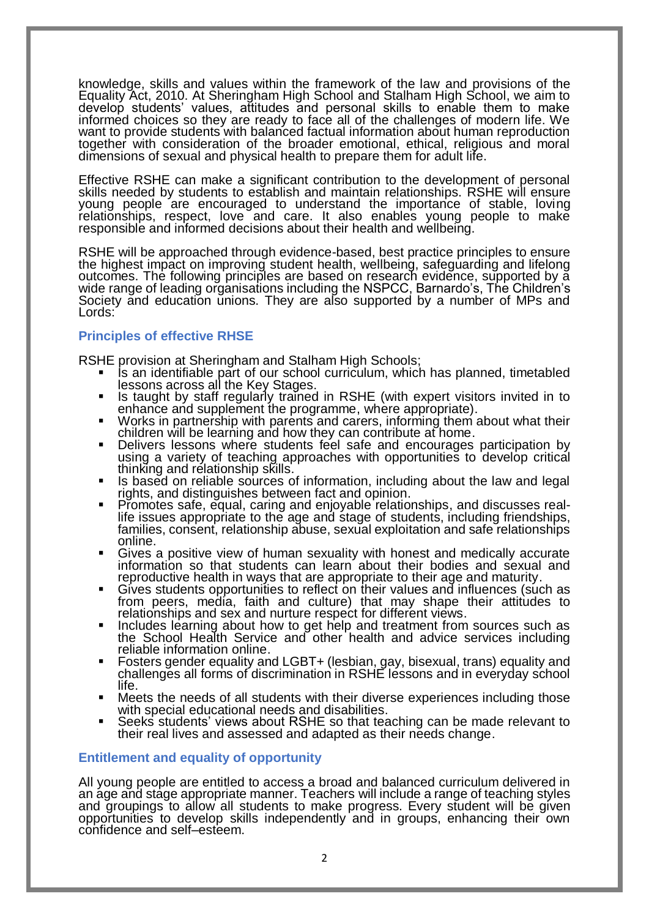knowledge, skills and values within the framework of the law and provisions of the Equality Act, 2010. At Sheringham High School and Stalham High School, we aim to develop students' values, attitudes and personal skills to enable them to make informed choices so they are ready to face all of the challenges of modern life. We want to provide students with balanced factual information about human reproduction together with consideration of the broader emotional, ethical, religious and moral dimensions of sexual and physical health to prepare them for adult life.

Effective RSHE can make a significant contribution to the development of personal skills needed by students to establish and maintain relationships. RSHE will ensure young people are encouraged to understand the importance of stable, loving relationships, respect, love and care. It also enables young people to make responsible and informed decisions about their health and wellbeing.

RSHE will be approached through evidence-based, best practice principles to ensure the highest impact on improving student health, wellbeing, safeguarding and lifelong outcomes. The following principles are based on research evidence, supported by a wide range of leading organisations including the NSPCC, Barnardo's, The Children's Society and education unions. They are also supported by a number of MPs and Lords:

# **Principles of effective RHSE**

RSHE provision at Sheringham and Stalham High Schools;

- If an identifiable part of our school curriculum, which has planned, timetabled lessons across all the Key Stages.
- Is taught by staff regularly trained in RSHE (with expert visitors invited in to enhance and supplement the programme, where appropriate).
- Works in partnership with parents and carers, informing them about what their children will be learning and how they can contribute at home.
- Delivers lessons where students feel safe and encourages participation by using a variety of teaching approaches with opportunities to develop critical thinking and relationship skills.
- Is based on reliable sources of information, including about the law and legal rights, and distinguishes between fact and opinion.
- Promotes safe, equal, caring and enjoyable relationships, and discusses reallife issues appropriate to the age and stage of students, including friendships, families, consent, relationship abuse, sexual exploitation and safe relationships online.
- Gives a positive view of human sexuality with honest and medically accurate information so that students can learn about their bodies and sexual and reproductive health in ways that are appropriate to their age and maturity.
- Gives students opportunities to reflect on their values and influences (such as from peers, media, faith and culture) that may shape their attitudes to relationships and sex and nurture respect for different views.
- Includes learning about how to get help and treatment from sources such as the School Health Service and other health and advice services including reliable information online.
- Fosters gender equality and LGBT+ (lesbian, gay, bisexual, trans) equality and challenges all forms of discrimination in RSHE lessons and in everyday school life.
- Meets the needs of all students with their diverse experiences including those with special educational needs and disabilities.
- Seeks students' views about RSHE so that teaching can be made relevant to their real lives and assessed and adapted as their needs change.

# **Entitlement and equality of opportunity**

All young people are entitled to access a broad and balanced curriculum delivered in an age and stage appropriate manner. Teachers will include a range of teaching styles and groupings to allow all students to make progress. Every student will be given opportunities to develop skills independently and in groups, enhancing their own confidence and self–esteem.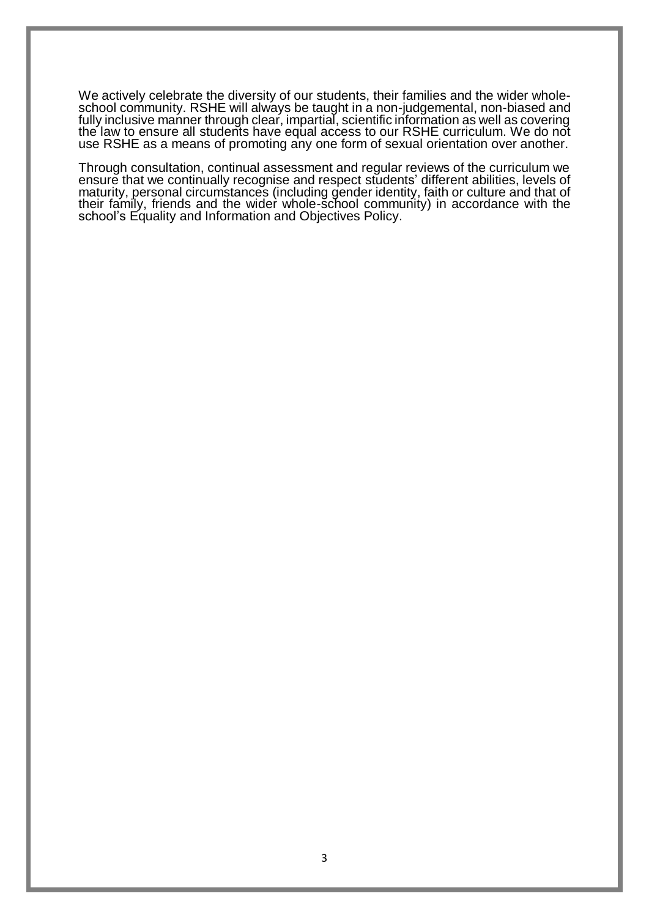We actively celebrate the diversity of our students, their families and the wider wholeschool community. RSHE will always be taught in a non-judgemental, non-biased and fully inclusive manner through clear, impartial, scientific information as well as covering the law to ensure all students have equal access to our RSHE curriculum. We do not use RSHE as a means of promoting any one form of sexual orientation over another.

Through consultation, continual assessment and regular reviews of the curriculum we ensure that we continually recognise and respect students' different abilities, levels of maturity, personal circumstances (including gender identity, faith or culture and that of their family, friends and the wider whole-school community) in accordance with the school's Equality and Information and Objectives Policy.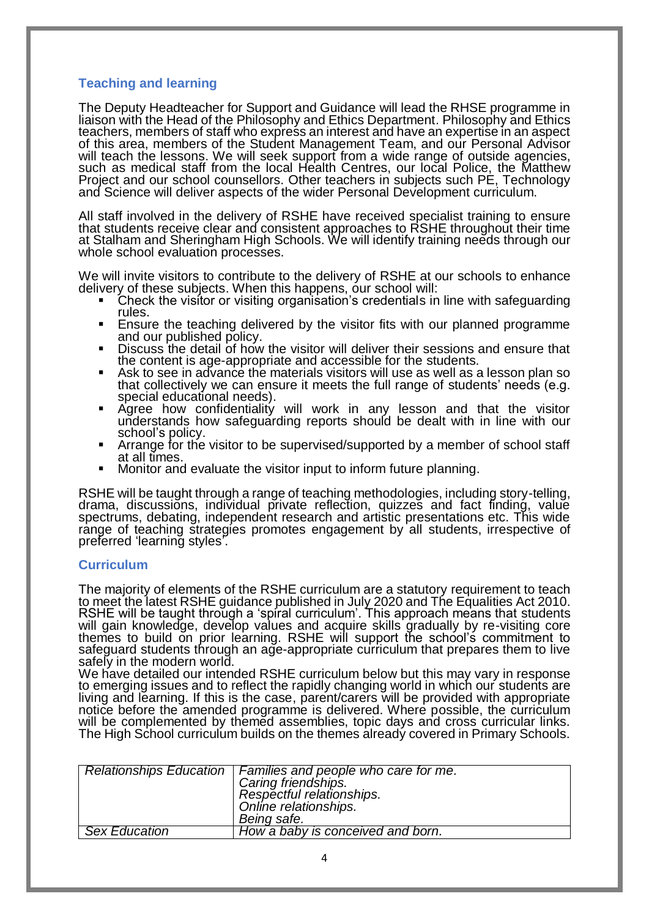# **Teaching and learning**

The Deputy Headteacher for Support and Guidance will lead the RHSE programme in liaison with the Head of the Philosophy and Ethics Department. Philosophy and Ethics teachers, members of staff who express an interest and have an expertise in an aspect of this area, members of the Student Management Team, and our Personal Advisor will teach the lessons. We will seek support from a wide range of outside agencies, such as medical staff from the local Health Centres, our local Police, the Matthew Project and our school counsellors. Other teachers in subjects such PE, Technology and Science will deliver aspects of the wider Personal Development curriculum.

All staff involved in the delivery of RSHE have received specialist training to ensure that students receive clear and consistent approaches to RSHE throughout their time at Stalham and Sheringham High Schools. We will identify training needs through our whole school evaluation processes.

We will invite visitors to contribute to the delivery of RSHE at our schools to enhance delivery of these subjects. When this happens, our school will:

- Check the visitor or visiting organisation's credentials in line with safeguarding rules.
- Ensure the teaching delivered by the visitor fits with our planned programme and our published policy.
- **Discuss the detail of how the visitor will deliver their sessions and ensure that** the content is age-appropriate and accessible for the students.
- Ask to see in advance the materials visitors will use as well as a lesson plan so that collectively we can ensure it meets the full range of students' needs (e.g. special educational needs).
- Agree how confidentiality will work in any lesson and that the visitor understands how safeguarding reports should be dealt with in line with our school's policy.
- Arrange for the visitor to be supervised/supported by a member of school staff at all times.
- Monitor and evaluate the visitor input to inform future planning.

RSHE will be taught through a range of teaching methodologies, including story-telling, drama, discussions, individual private reflection, quizzes and fact finding, value spectrums, debating, independent research and artistic presentations etc. This wide range of teaching strategies promotes engagement by all students, irrespective of preferred 'learning styles'.

# **Curriculum**

The majority of elements of the RSHE curriculum are a statutory requirement to teach to meet the latest RSHE guidance published in July 2020 and The Equalities Act 2010. RSHE will be taught through a 'spiral curriculum'. This approach means that students will gain knowledge, develop values and acquire skills gradually by re-visiting core themes to build on prior learning. RSHE will support the school's commitment to safeguard students through an age-appropriate curriculum that prepares them to live safely in the modern world.

We have detailed our intended RSHE curriculum below but this may vary in response to emerging issues and to reflect the rapidly changing world in which our students are living and learning. If this is the case, parent/carers will be provided with appropriate notice before the amended programme is delivered. Where possible, the curriculum will be complemented by themed assemblies, topic days and cross curricular links. The High School curriculum builds on the themes already covered in Primary Schools.

|                      | Relationships Education   Families and people who care for me.<br>Caring friendships.<br>Respectful relationships.<br>Online relationships.<br>Being safe. |
|----------------------|------------------------------------------------------------------------------------------------------------------------------------------------------------|
| <b>Sex Education</b> | How a baby is conceived and born.                                                                                                                          |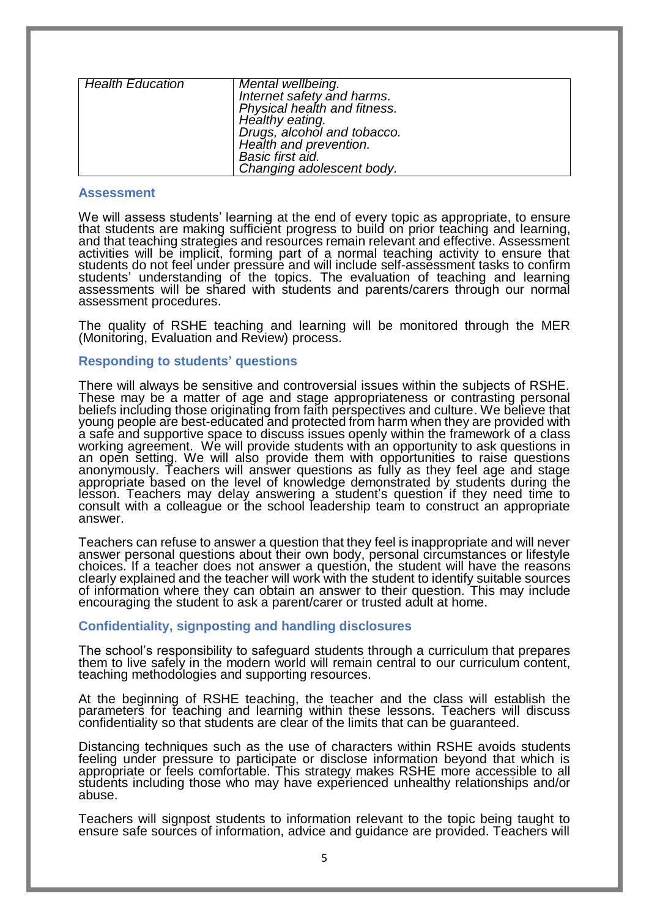| Mental wellbeing.            |
|------------------------------|
| Internet safety and harms.   |
| Physical health and fitness. |
| Healthy eating.              |
|                              |
| Drugs, alcohol and tobacco.  |
| Health and prevention.       |
| Basic first aid.             |
| Changing adolescent body.    |
|                              |

### **Assessment**

We will assess students' learning at the end of every topic as appropriate, to ensure that students are making sufficient progress to build on prior teaching and learning, and that teaching strategies and resources remain relevant and effective. Assessment activities will be implicit, forming part of a normal teaching activity to ensure that students do not feel under pressure and will include self-assessment tasks to confirm students' understanding of the topics. The evaluation of teaching and learning assessments will be shared with students and parents/carers through our normal assessment procedures.

The quality of RSHE teaching and learning will be monitored through the MER (Monitoring, Evaluation and Review) process.

# **Responding to students' questions**

There will always be sensitive and controversial issues within the subjects of RSHE. These may be a matter of age and stage appropriateness or contrasting personal beliefs including those originating from faith perspectives and culture. We believe that young people are best-educated and protected from harm when they are provided with a safe and supportive space to discuss issues openly within the framework of a class working agreement. We will provide students with an opportunity to ask questions in an open setting. We will also provide them with opportunities to raise questions anonymously. Teachers will answer questions as fully as they feel age and stage appropriate based on the level of knowledge demonstrated by students during the lesson. Teachers may delay answering a student's question if they need time to consult with a colleague or the school leadership team to construct an appropriate answer.

Teachers can refuse to answer a question that they feel is inappropriate and will never answer personal questions about their own body, personal circumstances or lifestyle choices. If a teacher does not answer a question, the student will have the reasons clearly explained and the teacher will work with the student to identify suitable sources of information where they can obtain an answer to their question. This may include encouraging the student to ask a parent/carer or trusted adult at home.

# **Confidentiality, signposting and handling disclosures**

The school's responsibility to safeguard students through a curriculum that prepares them to live safely in the modern world will remain central to our curriculum content, teaching methodologies and supporting resources.

At the beginning of RSHE teaching, the teacher and the class will establish the parameters for teaching and learning within these lessons. Teachers will discuss confidentiality so that students are clear of the limits that can be guaranteed.

Distancing techniques such as the use of characters within RSHE avoids students feeling under pressure to participate or disclose information beyond that which is appropriate or feels comfortable. This strategy makes RSHE more accessible to all students including those who may have experienced unhealthy relationships and/or abuse.

Teachers will signpost students to information relevant to the topic being taught to ensure safe sources of information, advice and guidance are provided. Teachers will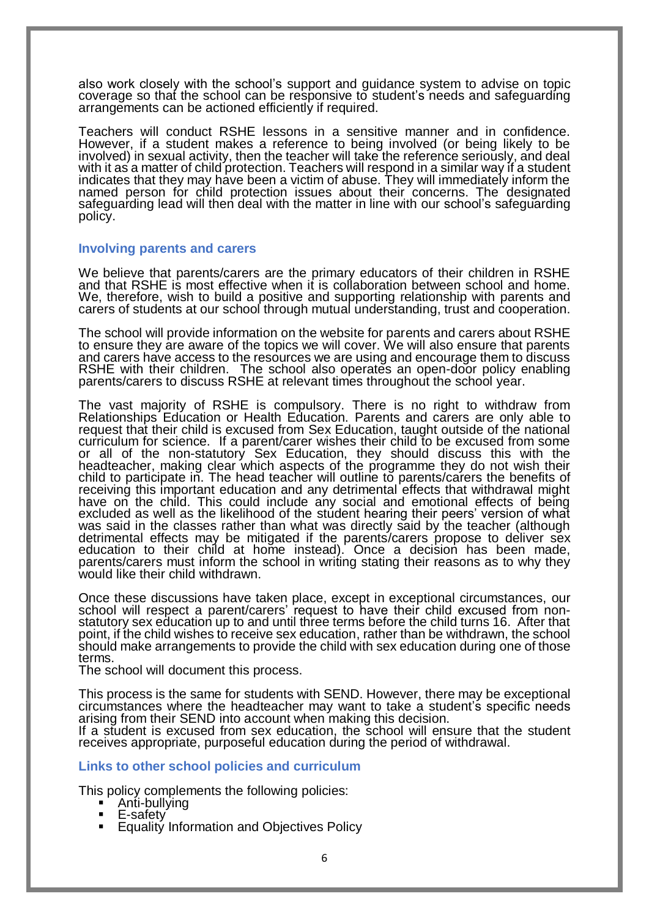also work closely with the school's support and guidance system to advise on topic coverage so that the school can be responsive to student's needs and safeguarding arrangements can be actioned efficiently if required.

Teachers will conduct RSHE lessons in a sensitive manner and in confidence. However, if a student makes a reference to being involved (or being likely to be involved) in sexual activity, then the teacher will take the reference seriously, and deal with it as a matter of child protection. Teachers will respond in a similar way if a student indicates that they may have been a victim of abuse. They will immediately inform the named person for child protection issues about their concerns. The designated safeguarding lead will then deal with the matter in line with our school's safeguarding policy.

# **Involving parents and carers**

We believe that parents/carers are the primary educators of their children in RSHE and that RSHE is most effective when it is collaboration between school and home. We, therefore, wish to build a positive and supporting relationship with parents and carers of students at our school through mutual understanding, trust and cooperation.

The school will provide information on the website for parents and carers about RSHE to ensure they are aware of the topics we will cover. We will also ensure that parents and carers have access to the resources we are using and encourage them to discuss RSHE with their children. The school also operates an open-door policy enabling parents/carers to discuss RSHE at relevant times throughout the school year.

The vast majority of RSHE is compulsory. There is no right to withdraw from Relationships Education or Health Education. Parents and carers are only able to request that their child is excused from Sex Education, taught outside of the national curriculum for science. If a parent/carer wishes their child to be excused from some or all of the non-statutory Sex Education, they should discuss this with the headteacher, making clear which aspects of the programme they do not wish their child to participate in. The head teacher will outline to parents/carers the benefits of receiving this important education and any detrimental effects that withdrawal might have on the child. This could include any social and emotional effects of being excluded as well as the likelihood of the student hearing their peers' version of what was said in the classes rather than what was directly said by the teacher (although detrimental effects may be mitigated if the parents/carers propose to deliver sex education to their child at home instead). Once a decision has been made, parents/carers must inform the school in writing stating their reasons as to why they would like their child withdrawn.

Once these discussions have taken place, except in exceptional circumstances, our school will respect a parent/carers' request to have their child excused from nonstatutory sex education up to and until three terms before the child turns 16. After that point, if the child wishes to receive sex education, rather than be withdrawn, the school should make arrangements to provide the child with sex education during one of those terms.

The school will document this process.

This process is the same for students with SEND. However, there may be exceptional circumstances where the headteacher may want to take a student's specific needs arising from their SEND into account when making this decision.

If a student is excused from sex education, the school will ensure that the student receives appropriate, purposeful education during the period of withdrawal.

# **Links to other school policies and curriculum**

This policy complements the following policies:

- Anti-bullying<br>■ E-safety
- E-safety
- Equality Information and Objectives Policy